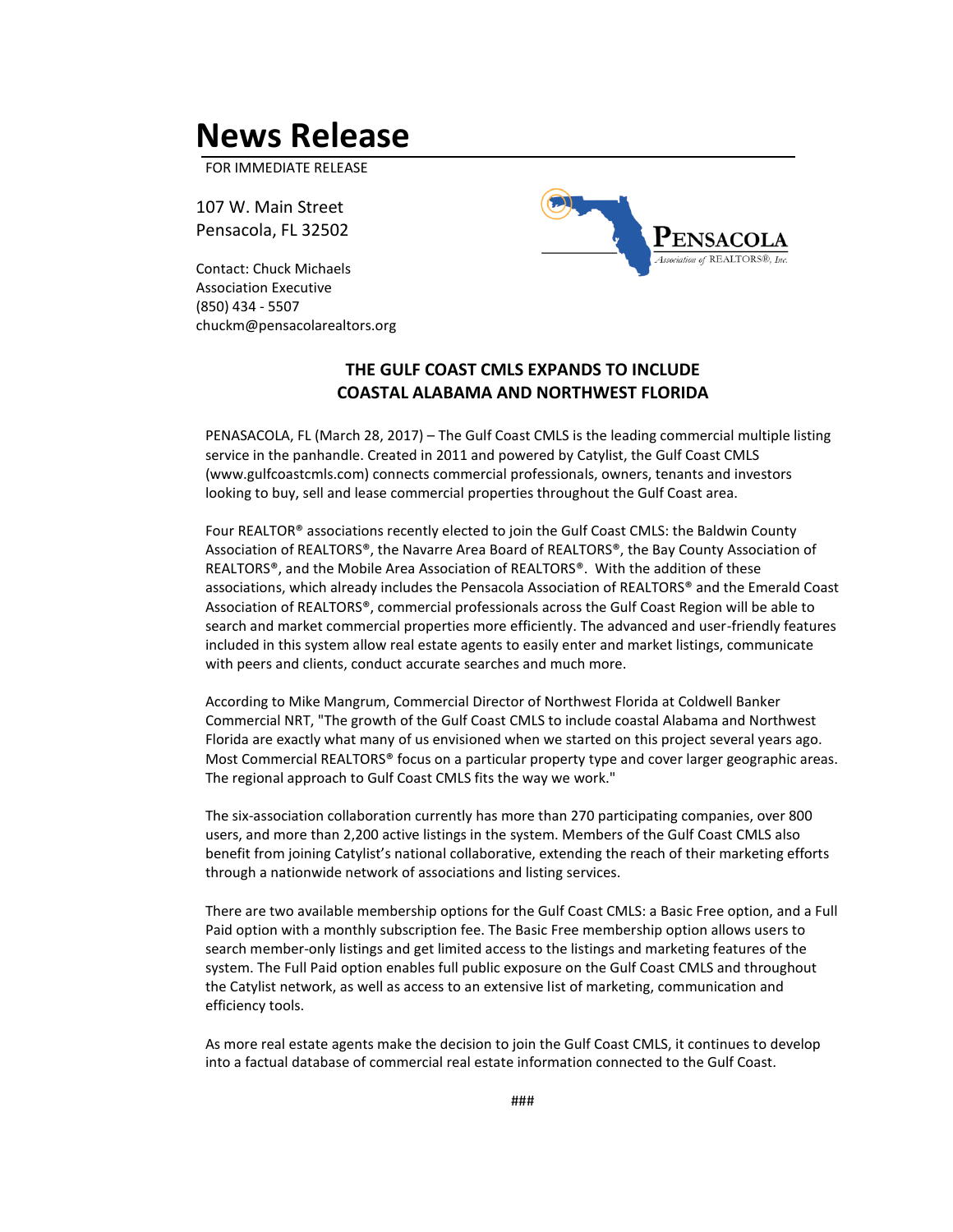## **News Release**

FOR IMMEDIATE RELEASE

107 W. Main Street Pensacola, FL 32502

Contact: Chuck Michaels Association Executive (850) 434 - 5507 [chuckm@pensacolarealtors.org](mailto:chuckm@pensacolarealtors.org)



## **THE GULF COAST CMLS EXPANDS TO INCLUDE COASTAL ALABAMA AND NORTHWEST FLORIDA**

PENASACOLA, FL (March 28, 2017) – The Gulf Coast CMLS is the leading commercial multiple listing service in the panhandle. Created in 2011 and powered by Catylist, the Gulf Coast CMLS [\(www.gulfcoastcmls.com\)](http://www.gulfcoastcmls.com/) connects commercial professionals, owners, tenants and investors looking to buy, sell and lease commercial properties throughout the Gulf Coast area.

Four REALTOR® associations recently elected to join the Gulf Coast CMLS: the Baldwin County Association of REALTORS®, the Navarre Area Board of REALTORS®, the Bay County Association of REALTORS®, and the Mobile Area Association of REALTORS®. With the addition of these associations, which already includes the Pensacola Association of REALTORS® and the Emerald Coast Association of REALTORS®, commercial professionals across the Gulf Coast Region will be able to search and market commercial properties more efficiently. The advanced and user-friendly features included in this system allow real estate agents to easily enter and market listings, communicate with peers and clients, conduct accurate searches and much more.

According to Mike Mangrum, Commercial Director of Northwest Florida at Coldwell Banker Commercial NRT, "The growth of the Gulf Coast CMLS to include coastal Alabama and Northwest Florida are exactly what many of us envisioned when we started on this project several years ago. Most Commercial REALTORS® focus on a particular property type and cover larger geographic areas. The regional approach to Gulf Coast CMLS fits the way we work."

The six-association collaboration currently has more than 270 participating companies, over 800 users, and more than 2,200 active listings in the system. Members of the Gulf Coast CMLS also benefit from joining Catylist's national collaborative, extending the reach of their marketing efforts through a nationwide network of associations and listing services.

There are two available membership options for the Gulf Coast CMLS: a Basic Free option, and a Full Paid option with a monthly subscription fee. The Basic Free membership option allows users to search member-only listings and get limited access to the listings and marketing features of the system. The Full Paid option enables full public exposure on the Gulf Coast CMLS and throughout the Catylist network, as well as access to an extensive list of marketing, communication and efficiency tools.

As more real estate agents make the decision to join the Gulf Coast CMLS, it continues to develop into a factual database of commercial real estate information connected to the Gulf Coast.